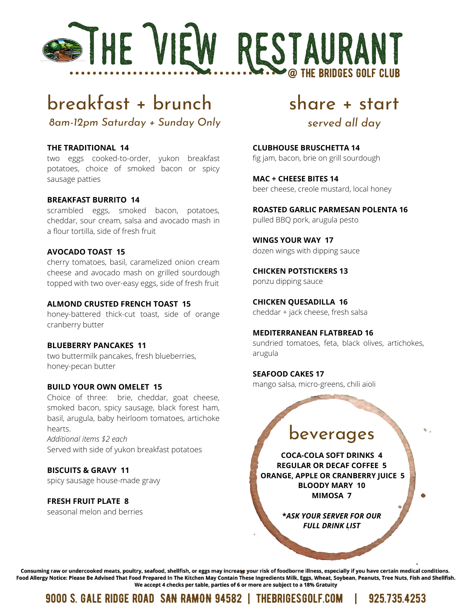

# breakfast + brunch

*8am-12pm Saturday + Sunday Only*

#### **THE TRADITIONAL 14**

two eggs cooked-to-order, yukon breakfast potatoes, choice of smoked bacon or spicy sausage patties

#### **BREAKFAST BURRITO 14**

scrambled eggs, smoked bacon, potatoes, cheddar, sour cream, salsa and avocado mash in a flour tortilla, side of fresh fruit

#### **AVOCADO TOAST 15**

cherry tomatoes, basil, caramelized onion cream cheese and avocado mash on grilled sourdough topped with two over-easy eggs, side of fresh fruit

#### **ALMOND CRUSTED FRENCH TOAST 15**

honey-battered thick-cut toast, side of orange cranberry butter

#### **BLUEBERRY PANCAKES 11**

two buttermilk pancakes, fresh blueberries, honey-pecan butter

#### **BUILD YOUR OWN OMELET 15**

Choice of three: brie, cheddar, goat cheese, smoked bacon, spicy sausage, black forest ham, basil, arugula, baby heirloom tomatoes, artichoke hearts. *Additional items \$2 each*

Served with side of yukon breakfast potatoes

#### **BISCUITS & GRAVY 11**

spicy sausage house-made gravy

#### **FRESH FRUIT PLATE 8**

seasonal melon and berries

## share + start

## *served all day*

**CLUBHOUSE BRUSCHETTA 14** fig jam, bacon, brie on grill sourdough

**MAC + CHEESE BITES 14** beer cheese, creole mustard, local honey

#### **ROASTED GARLIC PARMESAN POLENTA 16**

pulled BBQ pork, arugula pesto

#### **WINGS YOUR WAY 17**

dozen wings with dipping sauce

**CHICKEN POTSTICKERS 13** ponzu dipping sauce

### **CHICKEN QUESADILLA 16**

cheddar + jack cheese, fresh salsa

#### **MEDITERRANEAN FLATBREAD 16**

sundried tomatoes, feta, black olives, artichokes, arugula

#### **SEAFOOD CAKES 17**

mango salsa, micro-greens, chili aioli

## beverages

**COCA-COLA SOFT DRINKS 4 REGULAR OR DECAF COFFEE 5 ORANGE, APPLE OR CRANBERRY JUICE 5 BLOODY MARY 10 MIMOSA 7**

> **\****ASK YOUR SERVER FOR OUR FULL DRINK LIST*

Consuming raw or undercooked meats, poultry, seafood, shellfish, or eggs may increase your risk of foodborne illness, especially if you have certain medical conditions. Food Allergy Notice: Please Be Advised That Food Prepared In The Kitchen May Contain These Ingredients Milk, Eggs, Wheat, Soybean, Peanuts, Tree Nuts, Fish and Shellfish. We accept 4 checks per table, parties of 6 or more are subject to a 18% Gratuity